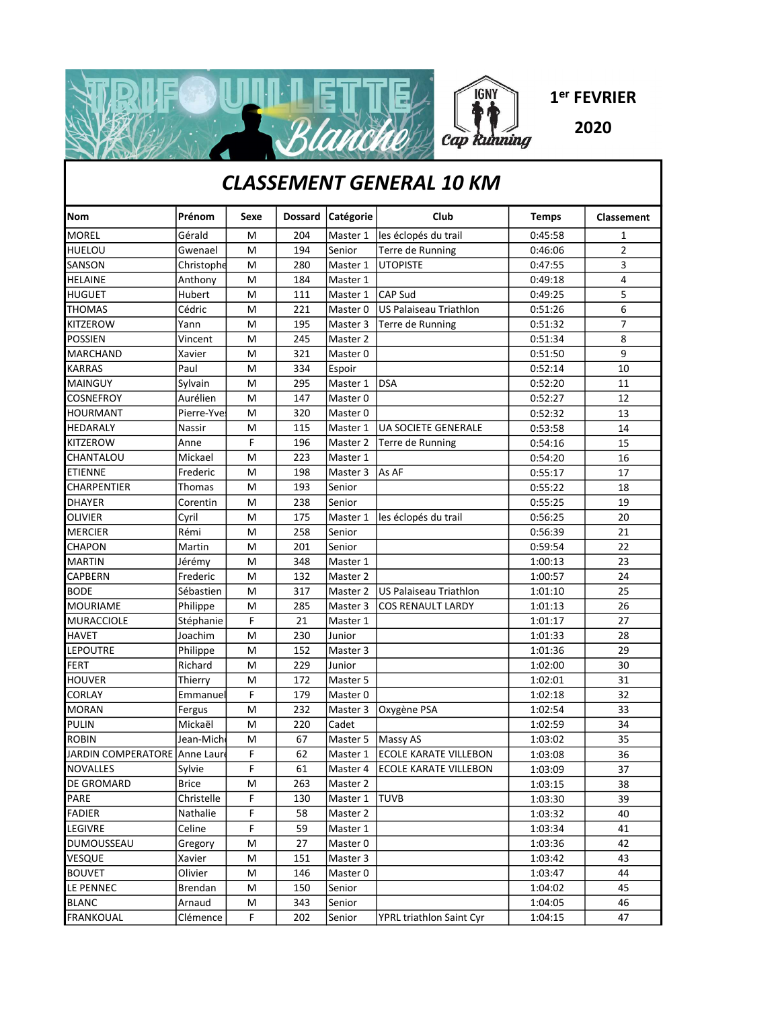

## CLASSEMENT GENERAL 10 KM

| <b>Nom</b>                     | Prénom       | Sexe | <b>Dossard</b> | Catégorie | Club                             | <b>Temps</b> | Classement     |
|--------------------------------|--------------|------|----------------|-----------|----------------------------------|--------------|----------------|
| <b>MOREL</b>                   | Gérald       | M    | 204            | Master 1  | les éclopés du trail             | 0:45:58      | 1              |
| HUELOU                         | Gwenael      | M    | 194            | Senior    | Terre de Running                 | 0:46:06      | 2              |
| SANSON                         | Christophe   | M    | 280            | Master 1  | <b>UTOPISTE</b>                  | 0:47:55      | 3              |
| HELAINE                        | Anthony      | M    | 184            | Master 1  |                                  | 0:49:18      | 4              |
| <b>HUGUET</b>                  | Hubert       | M    | 111            | Master 1  | <b>CAP Sud</b>                   | 0:49:25      | 5              |
| <b>THOMAS</b>                  | Cédric       | M    | 221            | Master 0  | <b>US Palaiseau Triathlon</b>    | 0:51:26      | 6              |
| KITZEROW                       | Yann         | M    | 195            | Master 3  | Terre de Running                 | 0:51:32      | $\overline{7}$ |
| <b>POSSIEN</b>                 | Vincent      | M    | 245            | Master 2  |                                  | 0:51:34      | 8              |
| <b>MARCHAND</b>                | Xavier       | M    | 321            | Master 0  |                                  | 0:51:50      | 9              |
| KARRAS                         | Paul         | M    | 334            | Espoir    |                                  | 0:52:14      | 10             |
| <b>MAINGUY</b>                 | Sylvain      | M    | 295            | Master 1  | <b>DSA</b>                       | 0:52:20      | 11             |
| COSNEFROY                      | Aurélien     | M    | 147            | Master 0  |                                  | 0:52:27      | 12             |
| <b>HOURMANT</b>                | Pierre-Yve   | M    | 320            | Master 0  |                                  | 0:52:32      | 13             |
| HEDARALY                       | Nassir       | M    | 115            | Master 1  | <b>UA SOCIETE GENERALE</b>       | 0:53:58      | 14             |
| KITZEROW                       | Anne         | F    | 196            | Master 2  | Terre de Running                 | 0:54:16      | 15             |
| CHANTALOU                      | Mickael      | M    | 223            | Master 1  |                                  | 0:54:20      | 16             |
| <b>ETIENNE</b>                 | Frederic     | M    | 198            | Master 3  | As AF                            | 0:55:17      | 17             |
| CHARPENTIER                    | Thomas       | M    | 193            | Senior    |                                  | 0:55:22      | 18             |
| DHAYER                         | Corentin     | M    | 238            | Senior    |                                  | 0:55:25      | 19             |
| <b>OLIVIER</b>                 | Cyril        | M    | 175            | Master 1  | les éclopés du trail             | 0:56:25      | 20             |
| <b>MERCIER</b>                 | Rémi         | M    | 258            | Senior    |                                  | 0:56:39      | 21             |
| <b>CHAPON</b>                  | Martin       | M    | 201            | Senior    |                                  | 0:59:54      | 22             |
| <b>MARTIN</b>                  | Jérémy       | M    | 348            | Master 1  |                                  | 1:00:13      | 23             |
| CAPBERN                        | Frederic     | M    | 132            | Master 2  |                                  | 1:00:57      | 24             |
| <b>BODE</b>                    | Sébastien    | M    | 317            | Master 2  | US Palaiseau Triathlon           | 1:01:10      | 25             |
| <b>MOURIAME</b>                | Philippe     | M    | 285            | Master 3  | <b>COS RENAULT LARDY</b>         | 1:01:13      | 26             |
| MURACCIOLE                     | Stéphanie    | F    | 21             | Master 1  |                                  | 1:01:17      | 27             |
| <b>HAVET</b>                   | Joachim      | M    | 230            | Junior    |                                  | 1:01:33      | 28             |
| LEPOUTRE                       | Philippe     | M    | 152            | Master 3  |                                  | 1:01:36      | 29             |
| <b>FERT</b>                    | Richard      | M    | 229            | Junior    |                                  | 1:02:00      | 30             |
| <b>HOUVER</b>                  | Thierry      | M    | 172            | Master 5  |                                  | 1:02:01      | 31             |
| CORLAY                         | Emmanuel     | F    | 179            | Master 0  |                                  | 1:02:18      | 32             |
| <b>MORAN</b>                   | Fergus       | M    | 232            | Master 3  | Oxygène PSA                      | 1:02:54      | 33             |
| PULIN                          | Mickaël      | M    | 220            | Cadet     |                                  | 1:02:59      | 34             |
| <b>ROBIN</b>                   | Jean-Mich    | M    | 67             | Master 5  | Massy AS                         | 1:03:02      | 35             |
| JARDIN COMPERATORE   Anne Laur |              | F    | 62             | Master 1  | <b>ECOLE KARATE VILLEBON</b>     | 1:03:08      | 36             |
| <b>NOVALLES</b>                | Sylvie       | F    | 61             |           | Master 4   ECOLE KARATE VILLEBON | 1:03:09      | 37             |
| <b>DE GROMARD</b>              | <b>Brice</b> | M    | 263            | Master 2  |                                  | 1:03:15      | 38             |
| PARE                           | Christelle   | F    | 130            | Master 1  | TUVB                             | 1:03:30      | 39             |
| <b>FADIER</b>                  | Nathalie     | F    | 58             | Master 2  |                                  | 1:03:32      | 40             |
| LEGIVRE                        | Celine       | F    | 59             | Master 1  |                                  | 1:03:34      | 41             |
| <b>DUMOUSSEAU</b>              | Gregory      | M    | 27             | Master 0  |                                  | 1:03:36      | 42             |
| <b>VESQUE</b>                  | Xavier       | M    | 151            | Master 3  |                                  | 1:03:42      | 43             |
| <b>BOUVET</b>                  | Olivier      | м    | 146            | Master 0  |                                  | 1:03:47      | 44             |
| LE PENNEC                      | Brendan      | M    | 150            | Senior    |                                  | 1:04:02      | 45             |
| <b>BLANC</b>                   | Arnaud       | М    | 343            | Senior    |                                  | 1:04:05      | 46             |
| <b>FRANKOUAL</b>               | Clémence     | F    | 202            | Senior    | YPRL triathlon Saint Cyr         | 1:04:15      | 47             |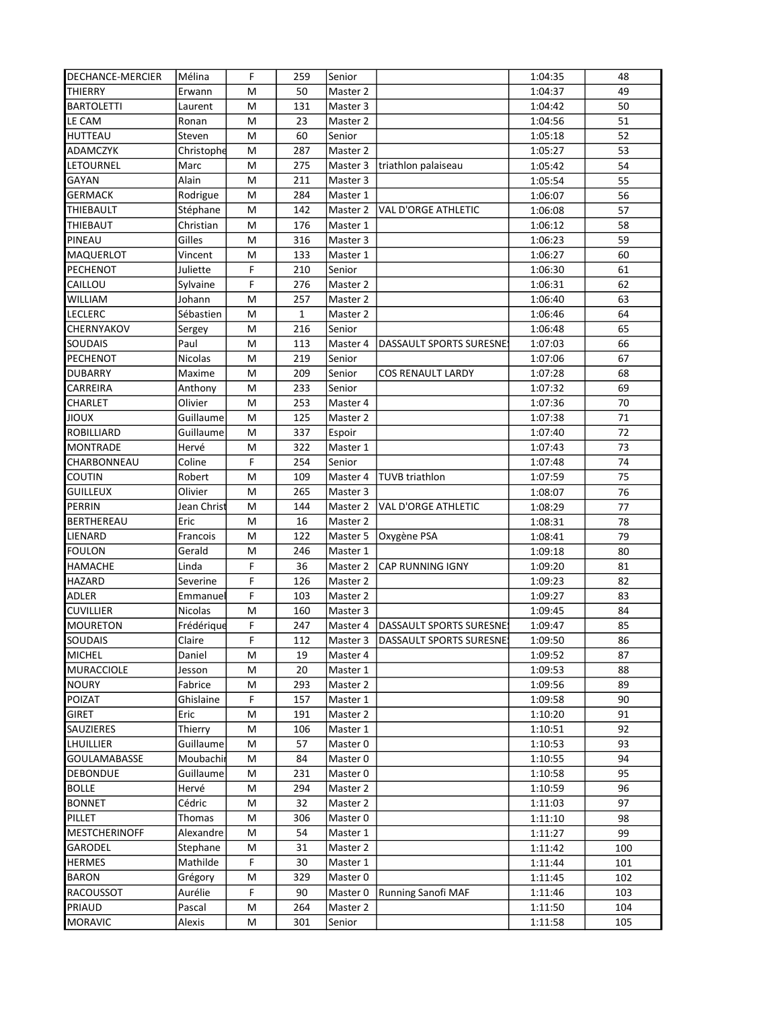| <b>DECHANCE-MERCIER</b>           | Mélina           | F           | 259       | Senior             |                                    | 1:04:35            | 48         |
|-----------------------------------|------------------|-------------|-----------|--------------------|------------------------------------|--------------------|------------|
| THIERRY                           | Erwann           | M           | 50        | Master 2           |                                    | 1:04:37            | 49         |
| <b>BARTOLETTI</b>                 | Laurent          | M           | 131       | Master 3           |                                    | 1:04:42            | 50         |
| LE CAM                            | Ronan            | M           | 23        | Master 2           |                                    | 1:04:56            | 51         |
| <b>HUTTEAU</b>                    | Steven           | M           | 60        | Senior             |                                    | 1:05:18            | 52         |
| <b>ADAMCZYK</b>                   | Christophe       | M           | 287       | Master 2           |                                    | 1:05:27            | 53         |
| LETOURNEL                         | Marc             | M           | 275       | Master 3           | triathlon palaiseau                | 1:05:42            | 54         |
| GAYAN                             | Alain            | M           | 211       | Master 3           |                                    | 1:05:54            | 55         |
| <b>GERMACK</b>                    | Rodrigue         | M           | 284       | Master 1           |                                    | 1:06:07            | 56         |
| THIEBAULT                         | Stéphane         | M           | 142       | Master 2           | <b>VAL D'ORGE ATHLETIC</b>         | 1:06:08            | 57         |
| THIEBAUT                          | Christian        | M           | 176       | Master 1           |                                    | 1:06:12            | 58         |
| PINEAU                            | Gilles           | M           | 316       | Master 3           |                                    | 1:06:23            | 59         |
| MAQUERLOT                         | Vincent          | M           | 133       | Master 1           |                                    | 1:06:27            | 60         |
| PECHENOT                          | Juliette         | F           | 210       | Senior             |                                    | 1:06:30            | 61         |
| CAILLOU                           | Sylvaine         | F           | 276       | Master 2           |                                    | 1:06:31            | 62         |
| WILLIAM                           | Johann           | M           | 257       | Master 2           |                                    | 1:06:40            | 63         |
| LECLERC                           | Sébastien        | M           | 1         | Master 2           |                                    | 1:06:46            | 64         |
| CHERNYAKOV                        | Sergey           | M           | 216       | Senior             |                                    | 1:06:48            | 65         |
| <b>SOUDAIS</b>                    | Paul             | M           | 113       | Master 4           | DASSAULT SPORTS SURESNE            | 1:07:03            | 66         |
| <b>PECHENOT</b>                   | Nicolas          | M           | 219       | Senior             |                                    | 1:07:06            | 67         |
| <b>DUBARRY</b>                    | Maxime           | M           | 209       | Senior             | <b>COS RENAULT LARDY</b>           | 1:07:28            | 68         |
| CARREIRA                          | Anthony          | M           | 233       | Senior             |                                    | 1:07:32            | 69         |
| CHARLET                           | Olivier          | M           | 253       | Master 4           |                                    | 1:07:36            | 70         |
| <b>NUOIL</b>                      | Guillaume        | M           | 125       | Master 2           |                                    | 1:07:38            | 71         |
| <b>ROBILLIARD</b>                 | Guillaume        | M           | 337       | Espoir             |                                    | 1:07:40            | 72         |
| <b>MONTRADE</b>                   | Hervé            | M           | 322       | Master 1           |                                    | 1:07:43            | 73         |
| CHARBONNEAU                       | Coline           | F           | 254       | Senior             |                                    | 1:07:48            | 74         |
| <b>COUTIN</b>                     | Robert           | M           | 109       | Master 4           | TUVB triathlon                     | 1:07:59            | 75         |
| <b>GUILLEUX</b>                   | Olivier          | M           | 265       | Master 3           |                                    | 1:08:07            | 76         |
| <b>PERRIN</b>                     | Jean Christ      | M           | 144       | Master 2           | <b>VAL D'ORGE ATHLETIC</b>         | 1:08:29            | 77         |
| BERTHEREAU                        | Eric             | M           | 16        | Master 2           |                                    | 1:08:31            | 78         |
| LIENARD                           | Francois         | M           | 122       | Master 5           | Oxygène PSA                        | 1:08:41            | 79         |
| FOULON                            | Gerald           | M           | 246       | Master 1           |                                    | 1:09:18            | 80         |
| HAMACHE                           | Linda            | F           | 36        | Master 2           | <b>CAP RUNNING IGNY</b>            | 1:09:20            | 81         |
| HAZARD                            | Severine         | F           | 126       | Master 2           |                                    | 1:09:23            | 82         |
| <b>ADLER</b>                      | Emmanue          | F           | 103       | Master 2           |                                    | 1:09:27            | 83         |
| <b>CUVILLIER</b>                  | Nicolas          | M           | 160       | Master 3           |                                    | 1:09:45            | 84         |
| <b>MOURETON</b>                   | Frédérique       | F           | 247       | Master 4           | DASSAULT SPORTS SURESNES           | 1:09:47            | 85         |
| SOUDAIS                           | Claire           | $\mathsf F$ | 112       |                    | Master 3   DASSAULT SPORTS SURESNE | 1:09:50            | 86         |
| <b>MICHEL</b>                     | Daniel           | м           | 19        | Master 4           |                                    | 1:09:52            | 87         |
| <b>MURACCIOLE</b>                 | Jesson           | Μ           | 20        | Master 1           |                                    | 1:09:53            | 88         |
| <b>NOURY</b>                      | Fabrice          | M           | 293       | Master 2           |                                    | 1:09:56            | 89         |
| POIZAT                            | Ghislaine        | F           | 157       | Master 1           |                                    | 1:09:58            | 90         |
| <b>GIRET</b>                      | Eric             | M           | 191       | Master 2           |                                    | 1:10:20            | 91         |
| SAUZIERES                         | Thierry          | M           | 106       | Master 1           |                                    | 1:10:51            | 92         |
| LHUILLIER                         | Guillaume        | M           | 57        | Master 0           |                                    | 1:10:53            | 93         |
| GOULAMABASSE                      | Moubachir        | м           | 84        | Master 0           |                                    | 1:10:55            | 94         |
| <b>DEBONDUE</b>                   | Guillaume        | M           | 231       | Master 0           |                                    | 1:10:58            | 95         |
| <b>BOLLE</b>                      | Hervé            | м           | 294       | Master 2           |                                    | 1:10:59            | 96         |
| <b>BONNET</b>                     | Cédric           | Μ           | 32        | Master 2           |                                    | 1:11:03            | 97         |
| PILLET                            | Thomas           | м           | 306<br>54 | Master 0           |                                    | 1:11:10            | 98         |
| <b>MESTCHERINOFF</b>              | Alexandre        | M           |           | Master 1           |                                    | 1:11:27            | 99         |
| GARODEL                           | Stephane         | М<br>F      | 31<br>30  | Master 2           |                                    | 1:11:42            | 100        |
| <b>HERMES</b>                     | Mathilde         |             |           | Master 1           |                                    | 1:11:44            | 101        |
| <b>BARON</b>                      | Grégory          | M<br>F      | 329       | Master 0           |                                    | 1:11:45            | 102        |
| <b>RACOUSSOT</b><br><b>PRIAUD</b> | Aurélie          | M           | 90<br>264 | Master 0           | <b>Running Sanofi MAF</b>          | 1:11:46<br>1:11:50 | 103<br>104 |
| <b>MORAVIC</b>                    | Pascal<br>Alexis | M           | 301       | Master 2<br>Senior |                                    | 1:11:58            | 105        |
|                                   |                  |             |           |                    |                                    |                    |            |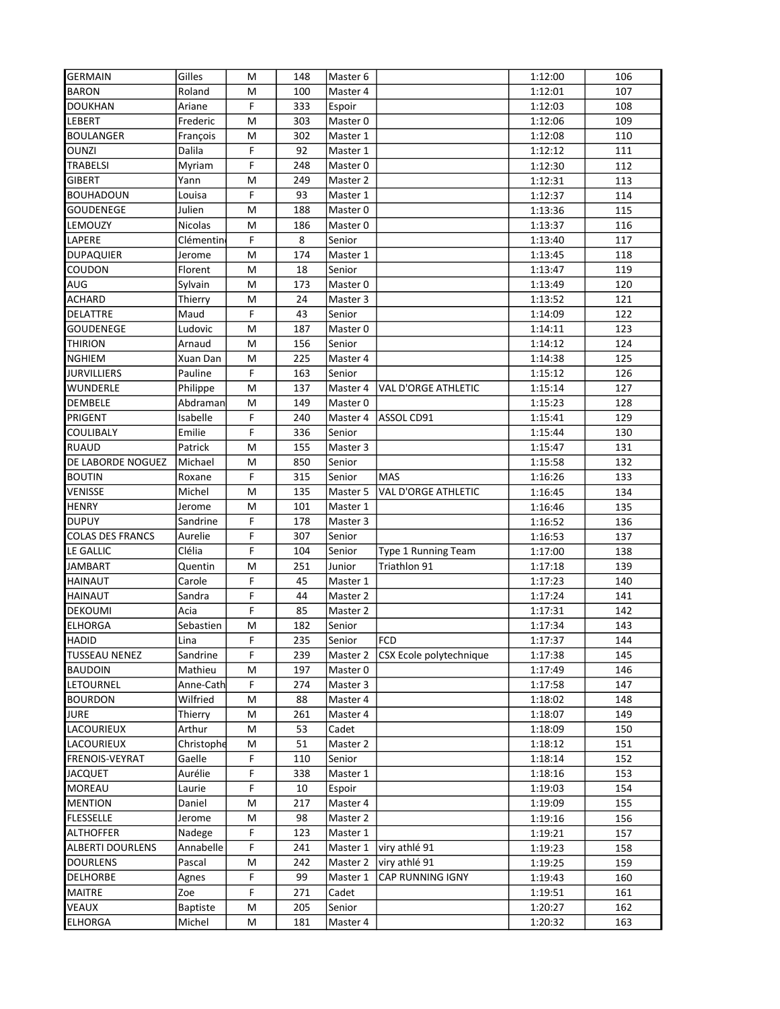| <b>GERMAIN</b>          | Gilles          | м              | 148 | Master 6 |                         | 1:12:00 | 106 |
|-------------------------|-----------------|----------------|-----|----------|-------------------------|---------|-----|
| <b>BARON</b>            | Roland          | м              | 100 | Master 4 |                         | 1:12:01 | 107 |
| <b>DOUKHAN</b>          | Ariane          | F              | 333 | Espoir   |                         | 1:12:03 | 108 |
| LEBERT                  | Frederic        | M              | 303 | Master 0 |                         | 1:12:06 | 109 |
| <b>BOULANGER</b>        | François        | M              | 302 | Master 1 |                         | 1:12:08 | 110 |
| <b>OUNZI</b>            | Dalila          | F              | 92  | Master 1 |                         | 1:12:12 | 111 |
| <b>TRABELSI</b>         | Myriam          | F              | 248 | Master 0 |                         | 1:12:30 | 112 |
| <b>GIBERT</b>           | Yann            | M              | 249 | Master 2 |                         | 1:12:31 | 113 |
| <b>BOUHADOUN</b>        | Louisa          | F              | 93  | Master 1 |                         | 1:12:37 | 114 |
| GOUDENEGE               | Julien          | M              | 188 | Master 0 |                         | 1:13:36 | 115 |
| LEMOUZY                 | <b>Nicolas</b>  | M              | 186 | Master 0 |                         | 1:13:37 | 116 |
| <b>LAPERE</b>           | Clémentin       | F              | 8   | Senior   |                         | 1:13:40 | 117 |
| <b>DUPAQUIER</b>        | Jerome          | M              | 174 | Master 1 |                         | 1:13:45 | 118 |
| COUDON                  | Florent         | M              | 18  | Senior   |                         | 1:13:47 | 119 |
| AUG                     | Sylvain         | M              | 173 | Master 0 |                         | 1:13:49 | 120 |
| ACHARD                  | Thierry         | M              | 24  | Master 3 |                         | 1:13:52 | 121 |
| DELATTRE                | Maud            | F              | 43  | Senior   |                         | 1:14:09 | 122 |
| GOUDENEGE               | Ludovic         | M              | 187 | Master 0 |                         | 1:14:11 | 123 |
| <b>THIRION</b>          | Arnaud          | M              | 156 | Senior   |                         | 1:14:12 | 124 |
| <b>NGHIEM</b>           | Xuan Dan        | M              | 225 | Master 4 |                         | 1:14:38 | 125 |
| <b>JURVILLIERS</b>      | Pauline         | F              | 163 | Senior   |                         | 1:15:12 | 126 |
| <b>WUNDERLE</b>         | Philippe        | M              | 137 | Master 4 | VAL D'ORGE ATHLETIC     | 1:15:14 | 127 |
| <b>DEMBELE</b>          | Abdraman        | M              | 149 | Master 0 |                         | 1:15:23 | 128 |
| PRIGENT                 | Isabelle        | F              | 240 | Master 4 | ASSOL CD91              | 1:15:41 | 129 |
| COULIBALY               | Emilie          | F              | 336 | Senior   |                         | 1:15:44 | 130 |
| <b>RUAUD</b>            | Patrick         | M              | 155 | Master 3 |                         | 1:15:47 | 131 |
| DE LABORDE NOGUEZ       | Michael         | M              | 850 | Senior   |                         | 1:15:58 | 132 |
| <b>BOUTIN</b>           | Roxane          | F              | 315 | Senior   | <b>MAS</b>              | 1:16:26 | 133 |
| VENISSE                 | Michel          | M              | 135 | Master 5 | VAL D'ORGE ATHLETIC     | 1:16:45 | 134 |
| <b>HENRY</b>            | Jerome          | M              | 101 | Master 1 |                         | 1:16:46 | 135 |
| <b>DUPUY</b>            | Sandrine        | F              | 178 | Master 3 |                         | 1:16:52 | 136 |
| <b>COLAS DES FRANCS</b> | Aurelie         | F              | 307 | Senior   |                         | 1:16:53 | 137 |
| LE GALLIC               | Clélia          | F              | 104 | Senior   | Type 1 Running Team     | 1:17:00 | 138 |
| JAMBART                 | Quentin         | M              | 251 | Junior   | Triathlon 91            | 1:17:18 | 139 |
| HAINAUT                 | Carole          | F              | 45  | Master 1 |                         | 1:17:23 | 140 |
| <b>HAINAUT</b>          | Sandra          | F              | 44  | Master 2 |                         | 1:17:24 | 141 |
| <b>DEKOUMI</b>          | Acia            | F              | 85  | Master 2 |                         | 1:17:31 | 142 |
| <b>ELHORGA</b>          | Sebastien       | M              | 182 | Senior   |                         | 1:17:34 | 143 |
| <b>HADID</b>            | Lina            | $\overline{F}$ | 235 | Senior   | FCD                     | 1:17:37 | 144 |
| <b>TUSSEAU NENEZ</b>    | Sandrine        | F              | 239 | Master 2 | CSX Ecole polytechnique | 1:17:38 | 145 |
| <b>BAUDOIN</b>          | Mathieu         | M              | 197 | Master 0 |                         | 1:17:49 | 146 |
| LETOURNEL               | Anne-Cath       | F              | 274 | Master 3 |                         | 1:17:58 | 147 |
| <b>BOURDON</b>          | Wilfried        | M              | 88  | Master 4 |                         | 1:18:02 | 148 |
| <b>JURE</b>             | Thierry         | м              | 261 | Master 4 |                         | 1:18:07 | 149 |
| LACOURIEUX              | Arthur          | M              | 53  | Cadet    |                         | 1:18:09 | 150 |
| LACOURIEUX              | Christophe      | M              | 51  | Master 2 |                         | 1:18:12 | 151 |
| FRENOIS-VEYRAT          | Gaelle          | F              | 110 | Senior   |                         | 1:18:14 | 152 |
| <b>JACQUET</b>          | Aurélie         | F              | 338 | Master 1 |                         | 1:18:16 | 153 |
| <b>MOREAU</b>           | Laurie          | F              | 10  | Espoir   |                         | 1:19:03 | 154 |
| <b>MENTION</b>          | Daniel          | M              | 217 | Master 4 |                         | 1:19:09 | 155 |
| <b>FLESSELLE</b>        | Jerome          | M              | 98  | Master 2 |                         | 1:19:16 | 156 |
| <b>ALTHOFFER</b>        | Nadege          | F              | 123 | Master 1 |                         | 1:19:21 | 157 |
| <b>ALBERTI DOURLENS</b> | Annabelle       | F              | 241 | Master 1 | viry athlé 91           | 1:19:23 | 158 |
| <b>DOURLENS</b>         | Pascal          | М              | 242 | Master 2 | viry athlé 91           | 1:19:25 | 159 |
| <b>DELHORBE</b>         | Agnes           | F              | 99  | Master 1 | <b>CAP RUNNING IGNY</b> | 1:19:43 | 160 |
| <b>MAITRE</b>           | Zoe             | F              | 271 | Cadet    |                         | 1:19:51 | 161 |
| VEAUX                   | <b>Baptiste</b> | M              | 205 | Senior   |                         | 1:20:27 | 162 |
| <b>ELHORGA</b>          | Michel          | M              | 181 | Master 4 |                         | 1:20:32 | 163 |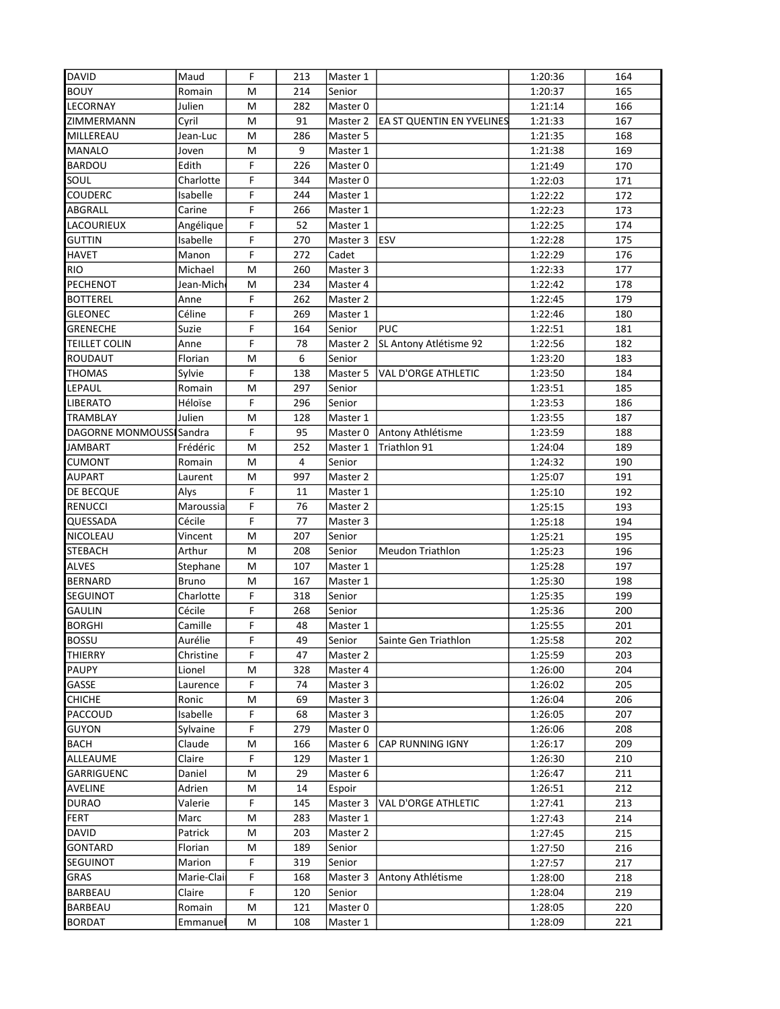| <b>DAVID</b>             | Maud         | F              | 213            | Master 1 |                                  | 1:20:36 | 164 |
|--------------------------|--------------|----------------|----------------|----------|----------------------------------|---------|-----|
| <b>BOUY</b>              | Romain       | M              | 214            | Senior   |                                  | 1:20:37 | 165 |
| LECORNAY                 | Julien       | M              | 282            | Master 0 |                                  | 1:21:14 | 166 |
| ZIMMERMANN               | Cyril        | M              | 91             | Master 2 | <b>EA ST QUENTIN EN YVELINES</b> | 1:21:33 | 167 |
| MILLEREAU                | Jean-Luc     | M              | 286            | Master 5 |                                  | 1:21:35 | 168 |
| <b>MANALO</b>            | Joven        | M              | 9              | Master 1 |                                  | 1:21:38 | 169 |
| BARDOU                   | Edith        | F              | 226            | Master 0 |                                  | 1:21:49 | 170 |
| SOUL                     | Charlotte    | F              | 344            | Master 0 |                                  | 1:22:03 | 171 |
| <b>COUDERC</b>           | Isabelle     | F              | 244            | Master 1 |                                  | 1:22:22 | 172 |
| ABGRALL                  | Carine       | F              | 266            | Master 1 |                                  | 1:22:23 | 173 |
| LACOURIEUX               | Angélique    | F              | 52             | Master 1 |                                  | 1:22:25 | 174 |
| <b>GUTTIN</b>            | Isabelle     | F              | 270            | Master 3 | <b>ESV</b>                       | 1:22:28 | 175 |
| <b>HAVET</b>             | Manon        | F              | 272            | Cadet    |                                  | 1:22:29 | 176 |
| <b>RIO</b>               | Michael      | M              | 260            | Master 3 |                                  | 1:22:33 | 177 |
| PECHENOT                 | Jean-Mich    | M              | 234            | Master 4 |                                  | 1:22:42 | 178 |
| <b>BOTTEREL</b>          | Anne         | F              | 262            | Master 2 |                                  | 1:22:45 | 179 |
| <b>GLEONEC</b>           | Céline       | F              | 269            | Master 1 |                                  | 1:22:46 | 180 |
| <b>GRENECHE</b>          | Suzie        | F              | 164            | Senior   | <b>PUC</b>                       | 1:22:51 | 181 |
| <b>TEILLET COLIN</b>     | Anne         | F              | 78             | Master 2 | SL Antony Atlétisme 92           | 1:22:56 | 182 |
| ROUDAUT                  | Florian      | M              | 6              | Senior   |                                  | 1:23:20 | 183 |
| <b>THOMAS</b>            | Sylvie       | F              | 138            | Master 5 | <b>VAL D'ORGE ATHLETIC</b>       | 1:23:50 | 184 |
| LEPAUL                   | Romain       | M              | 297            | Senior   |                                  | 1:23:51 | 185 |
| <b>LIBERATO</b>          | Héloïse      | F              | 296            | Senior   |                                  | 1:23:53 | 186 |
| <b>TRAMBLAY</b>          | Julien       | M              | 128            | Master 1 |                                  | 1:23:55 | 187 |
| DAGORNE MONMOUSSI Sandra |              | F              | 95             | Master 0 | Antony Athlétisme                | 1:23:59 | 188 |
| <b>JAMBART</b>           | Frédéric     | M              | 252            | Master 1 | Triathlon 91                     | 1:24:04 | 189 |
| <b>CUMONT</b>            | Romain       | M              | $\overline{4}$ | Senior   |                                  | 1:24:32 | 190 |
| <b>AUPART</b>            | Laurent      | M              | 997            | Master 2 |                                  | 1:25:07 | 191 |
| DE BECQUE                | Alys         | F              | 11             | Master 1 |                                  | 1:25:10 | 192 |
| <b>RENUCCI</b>           | Maroussia    | F              | 76             | Master 2 |                                  | 1:25:15 | 193 |
| QUESSADA                 | Cécile       | F              | 77             | Master 3 |                                  | 1:25:18 | 194 |
| NICOLEAU                 | Vincent      | M              | 207            | Senior   |                                  | 1:25:21 | 195 |
| <b>STEBACH</b>           | Arthur       | M              | 208            | Senior   | <b>Meudon Triathlon</b>          | 1:25:23 | 196 |
| <b>ALVES</b>             | Stephane     | M              | 107            | Master 1 |                                  | 1:25:28 | 197 |
| <b>BERNARD</b>           | <b>Bruno</b> | M              | 167            | Master 1 |                                  | 1:25:30 | 198 |
| SEGUINOT                 | Charlotte    | F              | 318            | Senior   |                                  | 1:25:35 | 199 |
| <b>GAULIN</b>            | Cécile       | F              | 268            | Senior   |                                  | 1:25:36 | 200 |
| <b>BORGHI</b>            | Camille      | F              | 48             | Master 1 |                                  | 1:25:55 | 201 |
| <b>BOSSU</b>             | Aurélie      | $\overline{F}$ | 49             | Senior   | Sainte Gen Triathlon             | 1:25:58 | 202 |
| THIERRY                  | Christine    | F              | 47             | Master 2 |                                  | 1:25:59 | 203 |
| PAUPY                    | Lionel       | M              | 328            | Master 4 |                                  | 1:26:00 | 204 |
| GASSE                    | Laurence     | F              | 74             | Master 3 |                                  | 1:26:02 | 205 |
| <b>CHICHE</b>            | Ronic        | M              | 69             | Master 3 |                                  | 1:26:04 | 206 |
| PACCOUD                  | Isabelle     | F              | 68             | Master 3 |                                  | 1:26:05 | 207 |
| <b>GUYON</b>             | Sylvaine     | F              | 279            | Master 0 |                                  | 1:26:06 | 208 |
| <b>BACH</b>              | Claude       | M              | 166            | Master 6 | CAP RUNNING IGNY                 | 1:26:17 | 209 |
| ALLEAUME                 | Claire       | F              | 129            | Master 1 |                                  | 1:26:30 | 210 |
| GARRIGUENC               | Daniel       | М              | 29             | Master 6 |                                  | 1:26:47 | 211 |
| <b>AVELINE</b>           | Adrien       | M              | 14             | Espoir   |                                  | 1:26:51 | 212 |
| <b>DURAO</b>             | Valerie      | F              | 145            | Master 3 | VAL D'ORGE ATHLETIC              | 1:27:41 | 213 |
| <b>FERT</b>              | Marc         | M              | 283            | Master 1 |                                  | 1:27:43 | 214 |
| <b>DAVID</b>             | Patrick      | M              | 203            | Master 2 |                                  | 1:27:45 | 215 |
| <b>GONTARD</b>           | Florian      | M              | 189            | Senior   |                                  | 1:27:50 | 216 |
| <b>SEGUINOT</b>          | Marion       | F              | 319            | Senior   |                                  | 1:27:57 | 217 |
| <b>GRAS</b>              | Marie-Clai   | F              | 168            | Master 3 | Antony Athlétisme                | 1:28:00 | 218 |
| <b>BARBEAU</b>           | Claire       | F              | 120            | Senior   |                                  | 1:28:04 | 219 |
| <b>BARBEAU</b>           | Romain       | M              | 121            | Master 0 |                                  | 1:28:05 | 220 |
| <b>BORDAT</b>            | Emmanuel     | M              | 108            | Master 1 |                                  | 1:28:09 | 221 |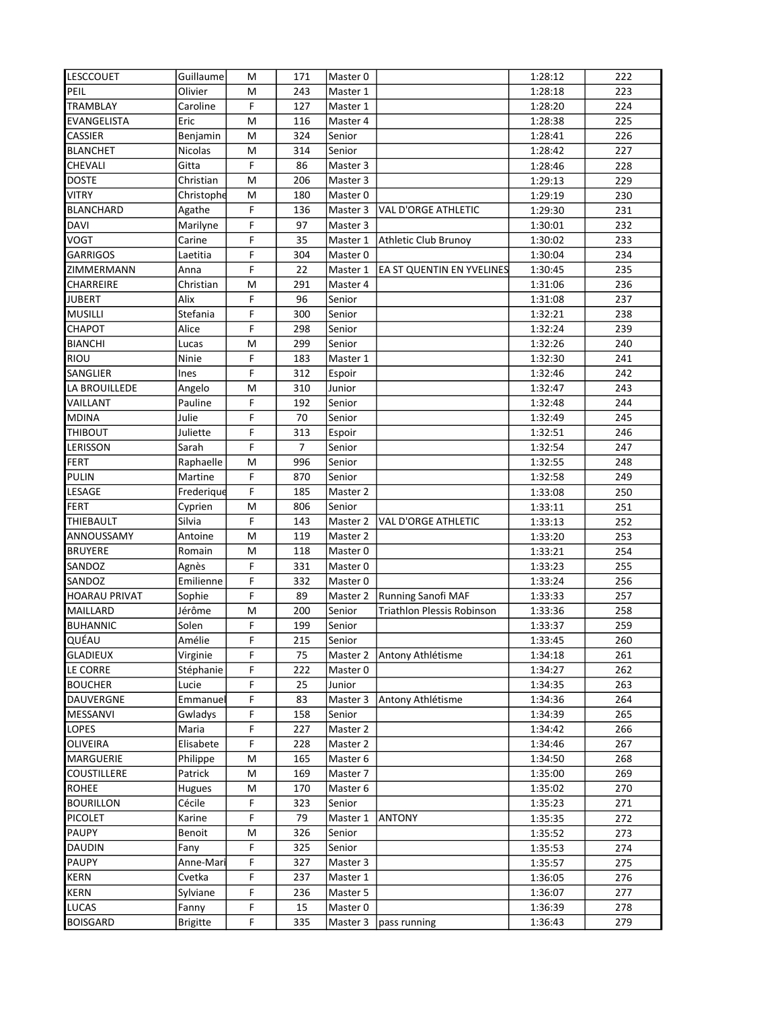| <b>LESCCOUET</b>     | Guillaume       | M           | 171            | Master 0 |                                   | 1:28:12 | 222 |
|----------------------|-----------------|-------------|----------------|----------|-----------------------------------|---------|-----|
| PEIL                 | Olivier         | M           | 243            | Master 1 |                                   | 1:28:18 | 223 |
| TRAMBLAY             | Caroline        | F           | 127            | Master 1 |                                   | 1:28:20 | 224 |
| EVANGELISTA          | Eric            | M           | 116            | Master 4 |                                   | 1:28:38 | 225 |
| CASSIER              | Benjamin        | M           | 324            | Senior   |                                   | 1:28:41 | 226 |
| <b>BLANCHET</b>      | Nicolas         | M           | 314            | Senior   |                                   | 1:28:42 | 227 |
| CHEVALI              | Gitta           | F           | 86             | Master 3 |                                   | 1:28:46 | 228 |
| <b>DOSTE</b>         | Christian       | M           | 206            | Master 3 |                                   | 1:29:13 | 229 |
| <b>VITRY</b>         | Christophe      | M           | 180            | Master 0 |                                   | 1:29:19 | 230 |
| <b>BLANCHARD</b>     | Agathe          | F           | 136            | Master 3 | <b>VAL D'ORGE ATHLETIC</b>        | 1:29:30 | 231 |
| <b>DAVI</b>          | Marilyne        | F           | 97             | Master 3 |                                   | 1:30:01 | 232 |
| <b>VOGT</b>          | Carine          | F           | 35             | Master 1 | <b>Athletic Club Brunoy</b>       | 1:30:02 | 233 |
| <b>GARRIGOS</b>      | Laetitia        | F           | 304            | Master 0 |                                   | 1:30:04 | 234 |
| ZIMMERMANN           | Anna            | F           | 22             | Master 1 | <b>EA ST QUENTIN EN YVELINES</b>  | 1:30:45 | 235 |
| CHARREIRE            | Christian       | M           | 291            | Master 4 |                                   | 1:31:06 | 236 |
| <b>JUBERT</b>        | Alix            | F           | 96             | Senior   |                                   | 1:31:08 | 237 |
| <b>MUSILLI</b>       | Stefania        | F           | 300            | Senior   |                                   | 1:32:21 | 238 |
| CHAPOT               | Alice           | F           | 298            | Senior   |                                   | 1:32:24 | 239 |
| <b>BIANCHI</b>       | Lucas           | M           | 299            | Senior   |                                   | 1:32:26 | 240 |
| RIOU                 | Ninie           | F           | 183            | Master 1 |                                   | 1:32:30 | 241 |
| SANGLIER             | Ines            | F           | 312            | Espoir   |                                   | 1:32:46 | 242 |
| LA BROUILLEDE        | Angelo          | M           | 310            | Junior   |                                   | 1:32:47 | 243 |
| VAILLANT             | Pauline         | F           | 192            | Senior   |                                   | 1:32:48 | 244 |
| <b>MDINA</b>         | Julie           | F           | 70             | Senior   |                                   | 1:32:49 | 245 |
| <b>THIBOUT</b>       | Juliette        | F           | 313            | Espoir   |                                   | 1:32:51 | 246 |
| LERISSON             | Sarah           | F           | $\overline{7}$ | Senior   |                                   | 1:32:54 | 247 |
| <b>FERT</b>          | Raphaelle       | M           | 996            | Senior   |                                   | 1:32:55 | 248 |
| <b>PULIN</b>         | Martine         | F           | 870            | Senior   |                                   | 1:32:58 | 249 |
| LESAGE               | Frederique      | F           | 185            | Master 2 |                                   | 1:33:08 | 250 |
| <b>FERT</b>          | Cyprien         | M           | 806            | Senior   |                                   | 1:33:11 | 251 |
| THIEBAULT            | Silvia          | F           | 143            | Master 2 | VAL D'ORGE ATHLETIC               | 1:33:13 | 252 |
| ANNOUSSAMY           | Antoine         | M           | 119            | Master 2 |                                   | 1:33:20 | 253 |
| <b>BRUYERE</b>       | Romain          | M           | 118            | Master 0 |                                   | 1:33:21 | 254 |
| SANDOZ               | Agnès           | F           | 331            | Master 0 |                                   | 1:33:23 | 255 |
| SANDOZ               | Emilienne       | F           | 332            | Master 0 |                                   | 1:33:24 | 256 |
| <b>HOARAU PRIVAT</b> | Sophie          | F           | 89             | Master 2 | Running Sanofi MAF                | 1:33:33 | 257 |
| MAILLARD             | Jérôme          | M           | 200            | Senior   | <b>Triathlon Plessis Robinson</b> | 1:33:36 | 258 |
| <b>BUHANNIC</b>      | Solen           | F           | 199            | Senior   |                                   | 1:33:37 | 259 |
| QUÉAU                | Amélie          | $\mathsf F$ | 215            | Senior   |                                   | 1:33:45 | 260 |
| <b>GLADIEUX</b>      | Virginie        | F           | 75             | Master 2 | Antony Athlétisme                 | 1:34:18 | 261 |
| <b>LE CORRE</b>      | Stéphanie       | F           | 222            | Master 0 |                                   | 1:34:27 | 262 |
| <b>BOUCHER</b>       | Lucie           | F           | 25             | Junior   |                                   | 1:34:35 | 263 |
| DAUVERGNE            | Emmanue         | F           | 83             | Master 3 | Antony Athlétisme                 | 1:34:36 | 264 |
| MESSANVI             | Gwladys         | F           | 158            | Senior   |                                   | 1:34:39 | 265 |
| <b>LOPES</b>         | Maria           | F           | 227            | Master 2 |                                   | 1:34:42 | 266 |
| <b>OLIVEIRA</b>      | Elisabete       | F           | 228            | Master 2 |                                   | 1:34:46 | 267 |
| MARGUERIE            | Philippe        | M           | 165            | Master 6 |                                   | 1:34:50 | 268 |
| <b>COUSTILLERE</b>   | Patrick         | M           | 169            | Master 7 |                                   | 1:35:00 | 269 |
| <b>ROHEE</b>         | Hugues          | M           | 170            | Master 6 |                                   | 1:35:02 | 270 |
| <b>BOURILLON</b>     | Cécile          | F           | 323            | Senior   |                                   | 1:35:23 | 271 |
| PICOLET              | Karine          | F           | 79             | Master 1 | <b>ANTONY</b>                     | 1:35:35 | 272 |
| PAUPY                | Benoit          | M           | 326            | Senior   |                                   | 1:35:52 | 273 |
| <b>DAUDIN</b>        | Fany            | F           | 325            | Senior   |                                   | 1:35:53 | 274 |
| <b>PAUPY</b>         | Anne-Mari       | F           | 327            | Master 3 |                                   | 1:35:57 | 275 |
| <b>KERN</b>          | Cvetka          | F           | 237            | Master 1 |                                   | 1:36:05 | 276 |
| <b>KERN</b>          | Sylviane        | F           | 236            | Master 5 |                                   | 1:36:07 | 277 |
| <b>LUCAS</b>         | Fanny           | F           | 15             | Master 0 |                                   | 1:36:39 | 278 |
| <b>BOISGARD</b>      | <b>Brigitte</b> | F           | 335            | Master 3 | pass running                      | 1:36:43 | 279 |